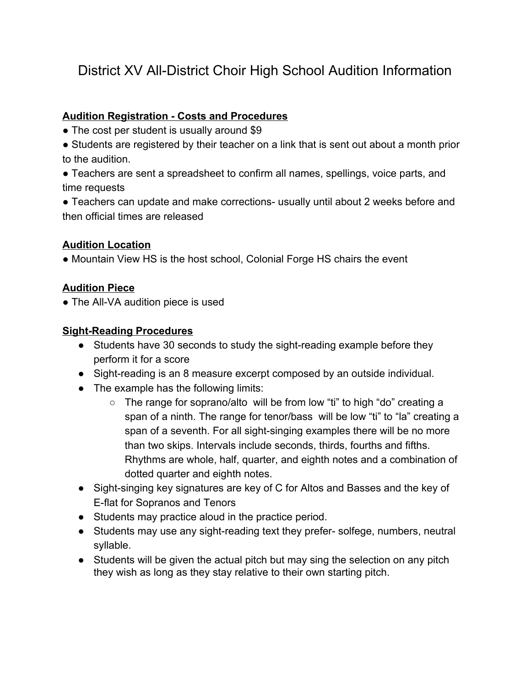# District XV All-District Choir High School Audition Information

#### **Audition Registration - Costs and Procedures**

- The cost per student is usually around \$9
- Students are registered by their teacher on a link that is sent out about a month prior to the audition.
- Teachers are sent a spreadsheet to confirm all names, spellings, voice parts, and time requests
- Teachers can update and make corrections- usually until about 2 weeks before and then official times are released

## **Audition Location**

• Mountain View HS is the host school, Colonial Forge HS chairs the event

### **Audition Piece**

• The All-VA audition piece is used

### **Sight-Reading Procedures**

- Students have 30 seconds to study the sight-reading example before they perform it for a score
- Sight-reading is an 8 measure excerpt composed by an outside individual.
- The example has the following limits:
	- The range for soprano/alto will be from low "ti" to high "do" creating a span of a ninth. The range for tenor/bass will be low "ti" to "la" creating a span of a seventh. For all sight-singing examples there will be no more than two skips. Intervals include seconds, thirds, fourths and fifths. Rhythms are whole, half, quarter, and eighth notes and a combination of dotted quarter and eighth notes.
- Sight-singing key signatures are key of C for Altos and Basses and the key of E-flat for Sopranos and Tenors
- Students may practice aloud in the practice period.
- Students may use any sight-reading text they prefer- solfege, numbers, neutral syllable.
- Students will be given the actual pitch but may sing the selection on any pitch they wish as long as they stay relative to their own starting pitch.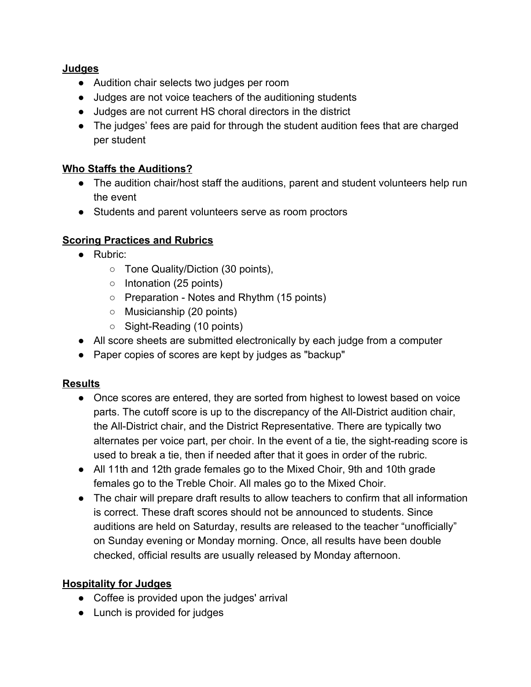#### **Judges**

- Audition chair selects two judges per room
- Judges are not voice teachers of the auditioning students
- Judges are not current HS choral directors in the district
- The judges' fees are paid for through the student audition fees that are charged per student

## **Who Staffs the Auditions?**

- The audition chair/host staff the auditions, parent and student volunteers help run the event
- Students and parent volunteers serve as room proctors

# **Scoring Practices and Rubrics**

- Rubric:
	- Tone Quality/Diction (30 points),
	- Intonation (25 points)
	- Preparation Notes and Rhythm (15 points)
	- Musicianship (20 points)
	- Sight-Reading (10 points)
- All score sheets are submitted electronically by each judge from a computer
- Paper copies of scores are kept by judges as "backup"

## **Results**

- Once scores are entered, they are sorted from highest to lowest based on voice parts. The cutoff score is up to the discrepancy of the All-District audition chair, the All-District chair, and the District Representative. There are typically two alternates per voice part, per choir. In the event of a tie, the sight-reading score is used to break a tie, then if needed after that it goes in order of the rubric.
- All 11th and 12th grade females go to the Mixed Choir, 9th and 10th grade females go to the Treble Choir. All males go to the Mixed Choir.
- The chair will prepare draft results to allow teachers to confirm that all information is correct. These draft scores should not be announced to students. Since auditions are held on Saturday, results are released to the teacher "unofficially" on Sunday evening or Monday morning. Once, all results have been double checked, official results are usually released by Monday afternoon.

## **Hospitality for Judges**

- Coffee is provided upon the judges' arrival
- Lunch is provided for judges